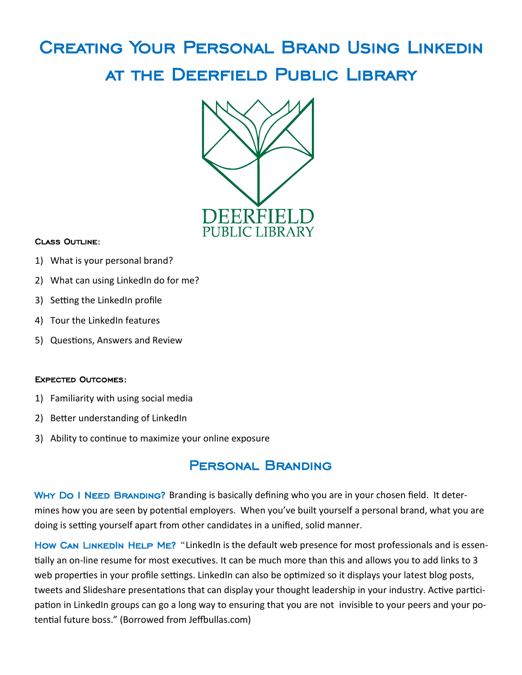# Creating Your Personal Brand Using Linkedin at the Deerfield Public Library



#### Class Outline:

- 1) What is your personal brand?
- 2) What can using LinkedIn do for me?
- 3) Setting the LinkedIn profile
- 4) Tour the LinkedIn features
- 5) Questions, Answers and Review

#### Expected Outcomes:

- 1) Familiarity with using social media
- 2) Better understanding of LinkedIn
- 3) Ability to continue to maximize your online exposure

## Personal Branding

WHY DO I NEED BRANDING? Branding is basically defining who you are in your chosen field. It determines how you are seen by potential employers. When you've built yourself a personal brand, what you are doing is setting yourself apart from other candidates in a unified, solid manner.

How CAN LINKEDIN HELP ME? "LinkedIn is the default web presence for most professionals and is essentially an on-line resume for most executives. It can be much more than this and allows you to add links to 3 web properties in your profile settings. LinkedIn can also be optimized so it displays your latest blog posts, tweets and Slideshare presentations that can display your thought leadership in your industry. Active participation in LinkedIn groups can go a long way to ensuring that you are not invisible to your peers and your potential future boss." (Borrowed from Jeffbullas.com)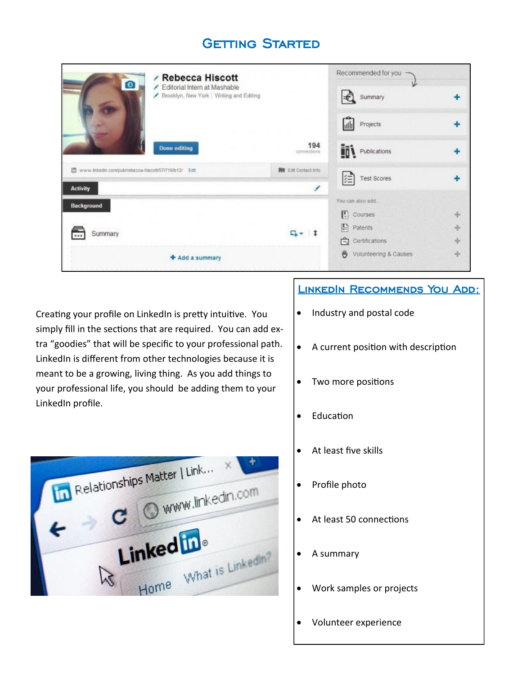# **GETTING STARTED**

| <b>/ Rebecca Hiscott</b><br>$\bullet$<br>Editorial Intern at Mashable<br>Brooklyn, New York   Writing and Editing |                             | Recommended for you<br>v   |  |
|-------------------------------------------------------------------------------------------------------------------|-----------------------------|----------------------------|--|
|                                                                                                                   |                             | l€<br>Summary              |  |
|                                                                                                                   |                             | ⋒<br>Projects              |  |
| <b>Done editing</b>                                                                                               | 194<br>connections          | <b>Inv</b> Publications    |  |
| www.linkedin.com/pub/rebecca-hiscott/57/716/b12/ Edit                                                             | <b>By Edit Contact Info</b> | 闰<br><b>Test Scores</b>    |  |
| <b>Activity</b>                                                                                                   |                             |                            |  |
| Background                                                                                                        |                             | You can also add.          |  |
|                                                                                                                   | $F_{+}$ + 1                 | 回<br>Courses               |  |
| Summary                                                                                                           |                             | <b>R</b> Patents           |  |
|                                                                                                                   |                             | Certifications             |  |
| + Add a summary                                                                                                   |                             | 两<br>Volunteering & Causes |  |

Creating your profile on LinkedIn is pretty intuitive. You simply fill in the sections that are required. You can add extra "goodies" that will be specific to your professional path. LinkedIn is different from other technologies because it is meant to be a growing, living thing. As you add things to your professional life, you should be adding them to your LinkedIn profile.



### LINKEDIN RECOMMENDS YOU ADD:

- Industry and postal code
- A current position with description
- Two more positions
- Education
- At least five skills
- Profile photo
- At least 50 connections
- A summary
- Work samples or projects
- Volunteer experience